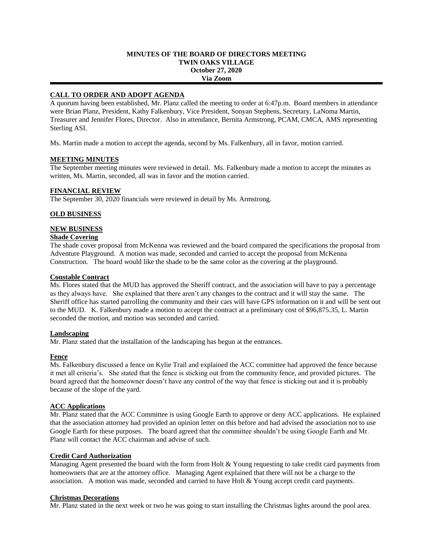### **MINUTES OF THE BOARD OF DIRECTORS MEETING TWIN OAKS VILLAGE October 27, 2020 Via Zoom**

## **CALL TO ORDER AND ADOPT AGENDA**

A quorum having been established, Mr. Planz called the meeting to order at 6:47p.m. Board members in attendance were Brian Planz, President, Kathy Falkenbury, Vice President, Sonyan Stephens, Secretary, LaNoma Martin, Treasurer and Jennifer Flores, Director. Also in attendance, Bernita Armstrong, PCAM, CMCA, AMS representing Sterling ASI.

Ms. Martin made a motion to accept the agenda, second by Ms. Falkenbury, all in favor, motion carried.

## **MEETING MINUTES**

The September meeting minutes were reviewed in detail. Ms. Falkenbury made a motion to accept the minutes as written, Ms. Martin, seconded, all was in favor and the motion carried.

## **FINANCIAL REVIEW**

The September 30, 2020 financials were reviewed in detail by Ms. Armstrong.

## **OLD BUSINESS**

## **NEW BUSINESS**

## **Shade Covering**

The shade cover proposal from McKenna was reviewed and the board compared the specifications the proposal from Adventure Playground. A motion was made, seconded and carried to accept the proposal from McKenna Construction. The board would like the shade to be the same color as the covering at the playground.

#### **Constable Contract**

Ms. Flores stated that the MUD has approved the Sheriff contract, and the association will have to pay a percentage as they always have. She explained that there aren't any changes to the contract and it will stay the same. The Sheriff office has started patrolling the community and their cars will have GPS information on it and will be sent out to the MUD. K. Falkenbury made a motion to accept the contract at a preliminary cost of \$96,875.35, L. Martin seconded the motion, and motion was seconded and carried.

## **Landscaping**

Mr. Planz stated that the installation of the landscaping has begun at the entrances.

## **Fence**

Ms. Falkenbury discussed a fence on Kylie Trail and explained the ACC committee had approved the fence because it met all criteria's. She stated that the fence is sticking out from the community fence, and provided pictures. The board agreed that the homeowner doesn't have any control of the way that fence is sticking out and it is probably because of the slope of the yard.

## **ACC Applications**

Mr. Planz stated that the ACC Committee is using Google Earth to approve or deny ACC applications. He explained that the association attorney had provided an opinion letter on this before and had advised the association not to use Google Earth for these purposes. The board agreed that the committee shouldn't be using Google Earth and Mr. Planz will contact the ACC chairman and advise of such.

# **Credit Card Authorization**

Managing Agent presented the board with the form from Holt & Young requesting to take credit card payments from homeowners that are at the attorney office. Managing Agent explained that there will not be a charge to the association. A motion was made, seconded and carried to have Holt & Young accept credit card payments.

## **Christmas Decorations**

Mr. Planz stated in the next week or two he was going to start installing the Christmas lights around the pool area.